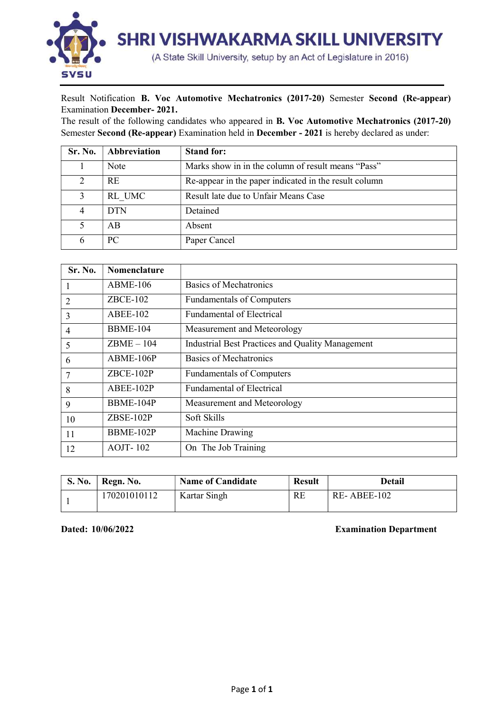

## Result Notification B. Voc Automotive Mechatronics (2017-20) Semester Second (Re-appear) Examination December- 2021.

The result of the following candidates who appeared in B. Voc Automotive Mechatronics (2017-20) Semester Second (Re-appear) Examination held in December - 2021 is hereby declared as under:

| Sr. No. | Abbreviation | <b>Stand for:</b>                                     |
|---------|--------------|-------------------------------------------------------|
|         | Note         | Marks show in in the column of result means "Pass"    |
| 2       | <b>RE</b>    | Re-appear in the paper indicated in the result column |
|         | RL UMC       | Result late due to Unfair Means Case                  |
|         | <b>DTN</b>   | Detained                                              |
|         | AB           | Absent                                                |
|         | PC.          | Paper Cancel                                          |

| Sr. No.        | <b>Nomenclature</b> |                                                         |
|----------------|---------------------|---------------------------------------------------------|
|                | $ABME-106$          | <b>Basics of Mechatronics</b>                           |
| 2              | $ZBCE-102$          | <b>Fundamentals of Computers</b>                        |
| 3              | <b>ABEE-102</b>     | <b>Fundamental of Electrical</b>                        |
| $\overline{4}$ | <b>BBME-104</b>     | Measurement and Meteorology                             |
| 5              | $ZBME - 104$        | <b>Industrial Best Practices and Quality Management</b> |
| 6              | ABME-106P           | <b>Basics of Mechatronics</b>                           |
| 7              | $ZBCE-102P$         | <b>Fundamentals of Computers</b>                        |
| 8              | ABEE-102P           | <b>Fundamental of Electrical</b>                        |
| 9              | BBME-104P           | Measurement and Meteorology                             |
| 10             | $ZBSE-102P$         | Soft Skills                                             |
| 11             | BBME-102P           | Machine Drawing                                         |
| 12             | $AOJT-102$          | On The Job Training                                     |

| <b>S. No.</b> | Regn. No.    | <b>Name of Candidate</b> | <b>Result</b> | Detail      |  |  |  |
|---------------|--------------|--------------------------|---------------|-------------|--|--|--|
|               | 170201010112 | Kartar Singh             | <b>RE</b>     | RE-ABEE-102 |  |  |  |

Dated: 10/06/2022 Examination Department